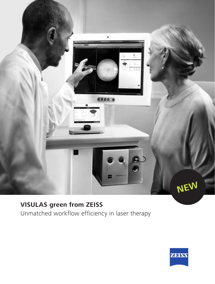

# **VISULAS green from ZEISS**

Unmatched workflow efficiency in laser therapy

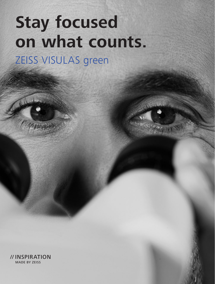# **Stay focused on what counts.** ZEISS VISULAS green

// INSPIRATION MADE BY ZEISS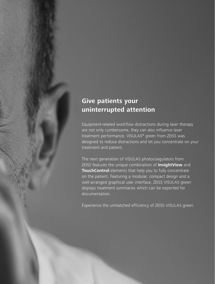# **Give patients your uninterrupted attention**

Equipment-related workflow distractions during laser therapy are not only cumbersome, they can also influence laser treatment performance. VISULAS® green from ZEISS was designed to reduce distractions and let you concentrate on your treatment and patient.

The next generation of VISULAS photocoagulators from ZEISS features the unique combination of **InsightView** and **TouchControl** elements that help you to fully concentrate on the patient. Featuring a modular, compact design and a well-arranged graphical user interface, ZEISS VISULAS green displays treatment summaries which can be exported for documentation.

Experience the unmatched efficiency of ZEISS VISULAS green.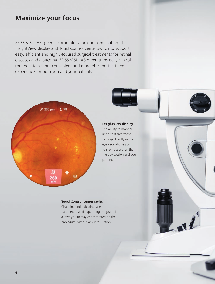## **Maximize your focus**

ZEISS VISULAS green incorporates a unique combination of InsightView display and TouchControl center switch to support easy, efficient and highly-focused surgical treatments for retinal diseases and glaucoma. ZEISS VISULAS green turns daily clinical routine into a more convenient and more efficient treatment experience for both you and your patients.



**InsightView display** The ability to monitor important treatment settings directly in the eyepiece allows you to stay focused on the therapy session and your patient.

#### **TouchControl center switch**

Changing and adjusting laser parameters while operating the joystick, allows you to stay concentrated on the procedure without any interruption.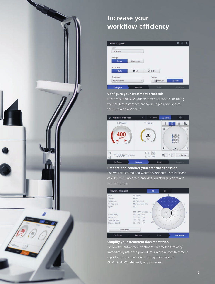

# **Increase your workflow efficiency**

| VISULAS green |          |                 | мĐ                   |
|---------------|----------|-----------------|----------------------|
| User          |          |                 |                      |
| Dr. Smith     | $\omega$ |                 |                      |
| Therapy       |          |                 |                      |
| Retina        | Glaucoma |                 |                      |
| Applicator    |          |                 |                      |
| J3 SL         | 9u0      | $\lambda$ ENDO  |                      |
| Treatment     |          | Trigger         |                      |
| My Panretinal | $\sim$   | <b>C</b> Manual | <b><i>C</i></b> Foot |
| Configure     | Prepare  | Treat           | Document.            |

#### **Configure your treatment protocols**

Customize and save your treatment protocols including



#### **Prepare and conduct your treatment session**

The well-structured and workflow-oriented user interface



#### **Simplify your treatment documentation**

Review the automated treatment parameter summary report in the eye care data management system ZEISS FORUM®, elegantly and paperless.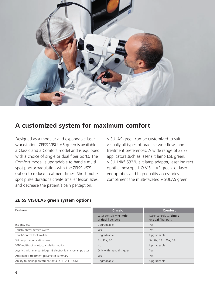

## **A customized system for maximum comfort**

Designed as a modular and expandable laser workstation, ZEISS VISULAS green is available in a Classic and a Comfort model and is equipped with a choice of single or dual fiber ports. The Comfort model is upgradable to handle multispot photocoagulation with the ZEISS *VITE* option to reduce treatment times. Short multispot pulse durations create smaller lesion sizes, and decrease the patient's pain perception.

VISULAS green can be customized to suit virtually all types of practice workflows and treatment preferences. A wide range of ZEISS applicators such as laser slit lamp LSL green, VISULINK® 532/U slit lamp adapter, laser indirect ophthalmoscope LIO VISULAS green, or laser endoprobes and high quality accessories compliment the multi-faceted VISULAS green.

#### **ZEISS VISULAS green system options**

| <b>Features</b>                                            | <b>Classic</b>                               | <b>Comfort</b>                               |  |
|------------------------------------------------------------|----------------------------------------------|----------------------------------------------|--|
|                                                            | Laser console w/single<br>or dual fiber port | Laser console w/single<br>or dual fiber port |  |
| InsightView                                                | Upgradeable                                  | Yes                                          |  |
| TouchControl center switch                                 | Yes.                                         | Yes                                          |  |
| TouchControl foot switch                                   | Upgradeable                                  | Upgradeable                                  |  |
| Slit lamp magnification levels                             | 8x, 12x, 20x                                 | 5x, 8x, 12x, 20x, 32x                        |  |
| VITE multispot photocoagulation option                     | <b>No</b>                                    | Upgradeable                                  |  |
| Joystick with manual trigger & electronic micromanipulator | Only with manual trigger                     | Yes                                          |  |
| Automated treatment parameter summary                      | Yes                                          | Yes                                          |  |
| Ability to manage treatment data in ZEISS FORUM            | Upgradeable                                  | Upgradeable                                  |  |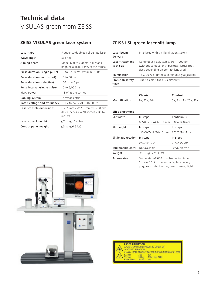# **Technical data**  VISULAS green from ZEISS

#### **ZEISS VISULAS green laser system**

| Laser type                    | Frequency-doubled solid-state laser                                             |
|-------------------------------|---------------------------------------------------------------------------------|
| Wavelength                    | 532 nm                                                                          |
| Aiming beam                   | Diode, 620 to 650 nm, adjustable<br>brightness, max. 1 mW at the cornea         |
| Pulse duration (single pulse) | 10 to 2,500 ms, cw (max. 180s)                                                  |
| Pulse duration (multi-spot)   | 10 to 50 ms                                                                     |
| Pulse duration (selective)    | 150 ns to 5 $\mu$ s                                                             |
| Pulse interval (single pulse) | 10 to 6,000 ms                                                                  |
| Max. power                    | 1.5 W at the cornea                                                             |
| Cooling system                | Thermoelectric                                                                  |
| Rated voltage and frequency   | 100 V to 240 V AC, 50/60 Hz                                                     |
| Laser console dimensions      | H 201 mm x W 230 mm x D 290 mm<br>(H 79 inches x W 91 inches x D 114<br>inches) |
| Laser consol weight           | $\leq$ 7 kg ( $\leq$ 15.4 lbs)                                                  |
| Control panel weight          | ≤3 kg (≤6.6 lbs)                                                                |
|                               |                                                                                 |

#### **ZEISS LSL green laser slit lamp**

| Laser beam<br>delivery       | Interlaced with slit illumination system                                                                                      |
|------------------------------|-------------------------------------------------------------------------------------------------------------------------------|
| Laser treatment<br>spot size | Continuously adjustable, 50-1,000 µm<br>(without contact lens), parfocal, larger spot<br>sizes depending on contact lens used |
| Illumination                 | 12 V, 30 W brightness continuously adjustable                                                                                 |
| Physician safety<br>filter   | True-to-color, fixed (ClearView®)                                                                                             |

|               | Classic      | Comfort                             |
|---------------|--------------|-------------------------------------|
| Magnification | 8x, 12x, 20x | $5x$ , $8x$ , $12x$ , $20x$ , $32x$ |

| Slit adjustment                |                                                                                                                                      |                                    |
|--------------------------------|--------------------------------------------------------------------------------------------------------------------------------------|------------------------------------|
| Slit width                     | In steps                                                                                                                             | Continuous                         |
|                                | 0.2/0.6/1.6/4.4/15.0 mm 0.0 to 14.0 mm                                                                                               |                                    |
| Slit height                    | In steps                                                                                                                             | In steps                           |
|                                | 1/3/5/7/12/14/15 mm 1/3/5/9/14 mm                                                                                                    |                                    |
| Slit image rotation            | In steps                                                                                                                             | In steps                           |
|                                | $0^{\circ}/\pm 45^{\circ}/90^{\circ}$                                                                                                | $0^{\circ}/+45^{\circ}/90^{\circ}$ |
| Micromanipulator Not available | Servo-electric                                                                                                                       |                                    |
| Weight                         | ≤11.5 kg (≤25.3 lbs)                                                                                                                 |                                    |
| Accessories                    | Tonometer AT 030, co-observation tube,<br>SL-cam 5.0, instrument table, laser safety<br>goggles, contact lenses, laser warning light |                                    |